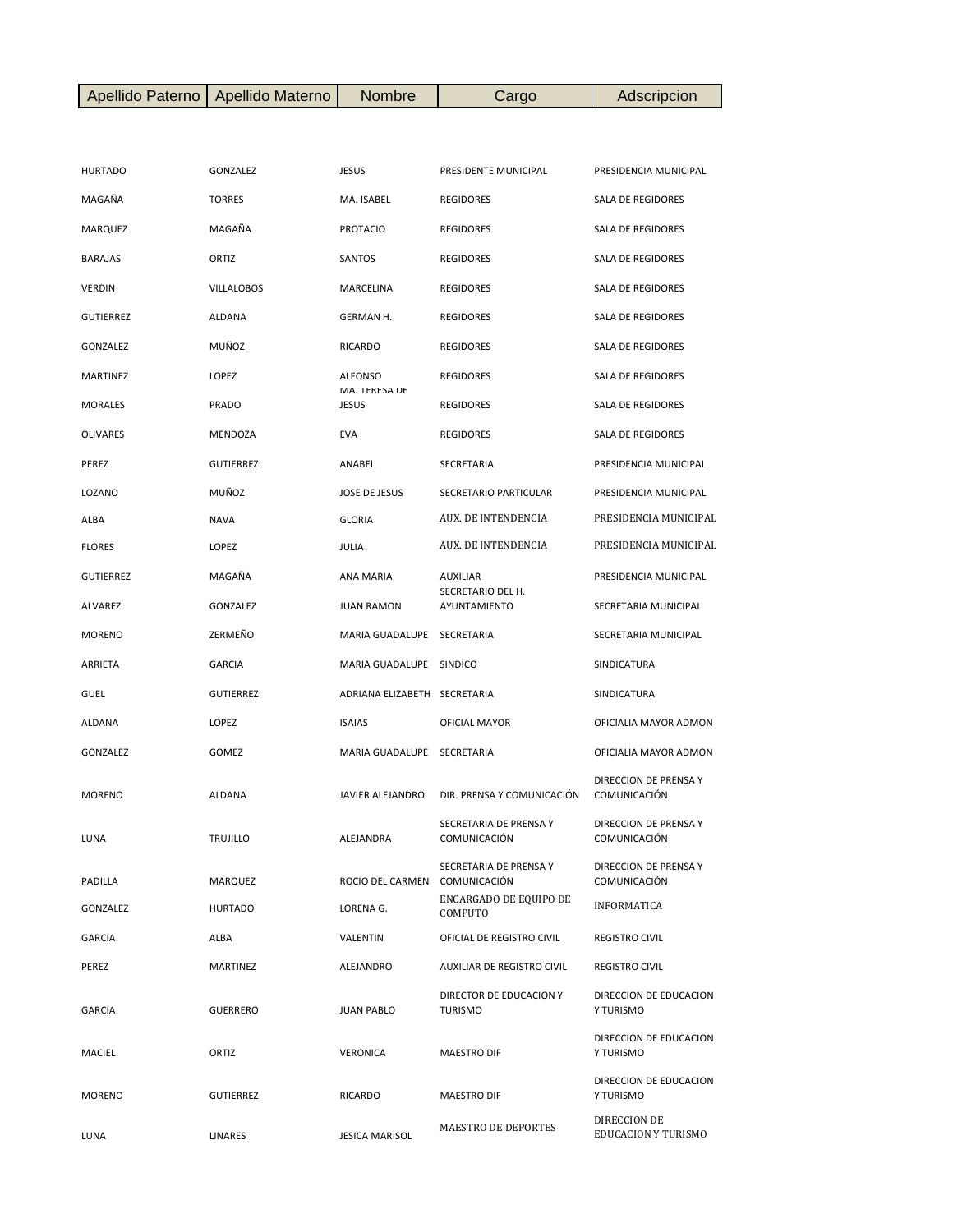|  | Apellido Paterno   Apellido Materno | <b>Nombre</b> | $\mathcal{L}$ argo | Adscripcion |
|--|-------------------------------------|---------------|--------------------|-------------|
|--|-------------------------------------|---------------|--------------------|-------------|

| <b>HURTADO</b>   | GONZALEZ          | JESUS                         | PRESIDENTE MUNICIPAL                   | PRESIDENCIA MUNICIPAL                      |
|------------------|-------------------|-------------------------------|----------------------------------------|--------------------------------------------|
| MAGAÑA           | <b>TORRES</b>     | MA. ISABEL                    | <b>REGIDORES</b>                       | SALA DE REGIDORES                          |
| <b>MARQUEZ</b>   | MAGAÑA            | <b>PROTACIO</b>               | <b>REGIDORES</b>                       | SALA DE REGIDORES                          |
| <b>BARAJAS</b>   | ORTIZ             | SANTOS                        | <b>REGIDORES</b>                       | <b>SALA DE REGIDORES</b>                   |
| <b>VERDIN</b>    | <b>VILLALOBOS</b> | MARCELINA                     | <b>REGIDORES</b>                       | SALA DE REGIDORES                          |
| <b>GUTIERREZ</b> | ALDANA            | GERMAN H.                     | <b>REGIDORES</b>                       | SALA DE REGIDORES                          |
| GONZALEZ         | MUÑOZ             | <b>RICARDO</b>                | <b>REGIDORES</b>                       | SALA DE REGIDORES                          |
| MARTINEZ         | LOPEZ             | <b>ALFONSO</b>                | <b>REGIDORES</b>                       | SALA DE REGIDORES                          |
| <b>MORALES</b>   | PRADO             | MA. TERESA DE<br><b>JESUS</b> | <b>REGIDORES</b>                       | SALA DE REGIDORES                          |
| OLIVARES         | MENDOZA           | <b>EVA</b>                    | <b>REGIDORES</b>                       | SALA DE REGIDORES                          |
| PEREZ            | <b>GUTIERREZ</b>  | ANABEL                        | SECRETARIA                             | PRESIDENCIA MUNICIPAL                      |
| LOZANO           | MUÑOZ             | JOSE DE JESUS                 | SECRETARIO PARTICULAR                  | PRESIDENCIA MUNICIPAL                      |
| ALBA             | <b>NAVA</b>       | <b>GLORIA</b>                 | AUX. DE INTENDENCIA                    | PRESIDENCIA MUNICIPAL                      |
| <b>FLORES</b>    | LOPEZ             | JULIA                         | AUX. DE INTENDENCIA                    | PRESIDENCIA MUNICIPAL                      |
| <b>GUTIERREZ</b> | MAGAÑA            | ANA MARIA                     | <b>AUXILIAR</b>                        | PRESIDENCIA MUNICIPAL                      |
| ALVAREZ          | GONZALEZ          | <b>JUAN RAMON</b>             | SECRETARIO DEL H.<br>AYUNTAMIENTO      | SECRETARIA MUNICIPAL                       |
| <b>MORENO</b>    | ZERMEÑO           | MARIA GUADALUPE               | SECRETARIA                             | SECRETARIA MUNICIPAL                       |
| ARRIETA          | <b>GARCIA</b>     | MARIA GUADALUPE               | <b>SINDICO</b>                         | SINDICATURA                                |
| GUEL             | <b>GUTIERREZ</b>  | ADRIANA ELIZABETH SECRETARIA  |                                        | SINDICATURA                                |
| ALDANA           | LOPEZ             | <b>ISAIAS</b>                 | OFICIAL MAYOR                          | OFICIALIA MAYOR ADMON                      |
| GONZALEZ         | GOMEZ             | MARIA GUADALUPE               | SECRETARIA                             | OFICIALIA MAYOR ADMON                      |
| <b>MORENO</b>    | ALDANA            | JAVIER ALEJANDRO              | DIR. PRENSA Y COMUNICACIÓN             | DIRECCION DE PRENSA Y<br>COMUNICACIÓN      |
| LUNA             | <b>TRUJILLO</b>   | ALEJANDRA                     | SECRETARIA DE PRENSA Y<br>COMUNICACIÓN | DIRECCION DE PRENSA Y<br>COMUNICACIÓN      |
| PADILLA          | MARQUEZ           | ROCIO DEL CARMEN COMUNICACIÓN | SECRETARIA DE PRENSA Y                 | DIRECCION DE PRENSA Y<br>COMUNICACIÓN      |
| GONZALEZ         | <b>HURTADO</b>    | LORENA G.                     | ENCARGADO DE EQUIPO DE<br>COMPUTO      | INFORMATICA                                |
| <b>GARCIA</b>    | ALBA              | VALENTIN                      | OFICIAL DE REGISTRO CIVIL              | <b>REGISTRO CIVIL</b>                      |
| PEREZ            | <b>MARTINEZ</b>   | ALEJANDRO                     | AUXILIAR DE REGISTRO CIVIL             | <b>REGISTRO CIVIL</b>                      |
| <b>GARCIA</b>    | <b>GUERRERO</b>   | <b>JUAN PABLO</b>             | DIRECTOR DE EDUCACION Y<br>TURISMO     | DIRECCION DE EDUCACION<br>Y TURISMO        |
| MACIEL           | ORTIZ             | <b>VERONICA</b>               | MAESTRO DIF                            | DIRECCION DE EDUCACION<br>Y TURISMO        |
| <b>MORENO</b>    | <b>GUTIERREZ</b>  | RICARDO                       | MAESTRO DIF                            | DIRECCION DE EDUCACION<br>Y TURISMO        |
| LUNA             | LINARES           | <b>JESICA MARISOL</b>         | MAESTRO DE DEPORTES                    | DIRECCION DE<br><b>EDUCACION Y TURISMO</b> |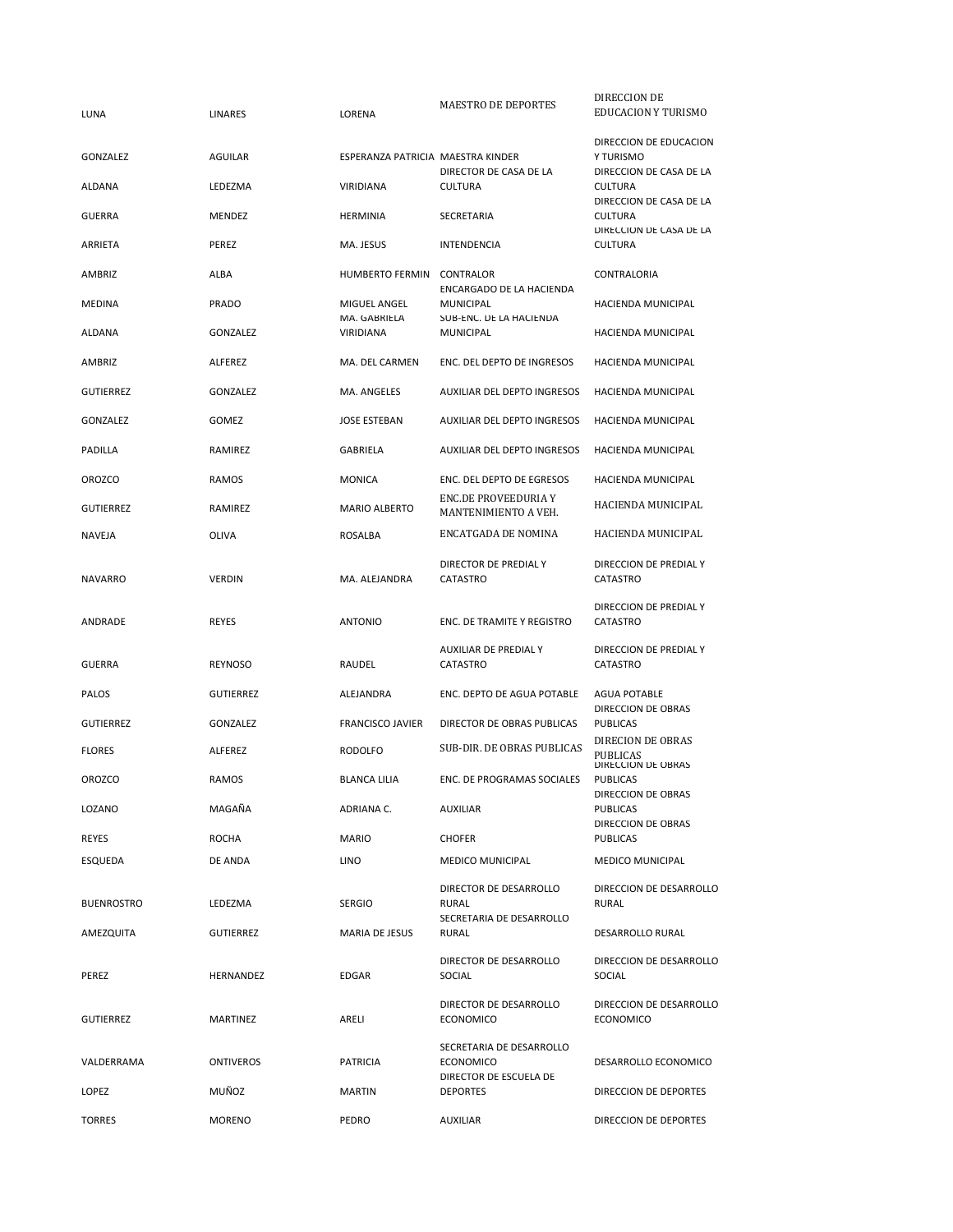| LUNA              | LINARES          | LORENA                            | MAESTRO DE DEPORTES                                                    | DIRECCION DE<br>EDUCACION Y TURISMO                 |
|-------------------|------------------|-----------------------------------|------------------------------------------------------------------------|-----------------------------------------------------|
| GONZALEZ          | AGUILAR          | ESPERANZA PATRICIA MAESTRA KINDER |                                                                        | DIRECCION DE EDUCACION<br>Y TURISMO                 |
| ALDANA            | LEDEZMA          | VIRIDIANA                         | DIRECTOR DE CASA DE LA<br><b>CULTURA</b>                               | DIRECCION DE CASA DE LA<br><b>CULTURA</b>           |
| <b>GUERRA</b>     | MENDEZ           | <b>HERMINIA</b>                   | SECRETARIA                                                             | DIRECCION DE CASA DE LA<br><b>CULTURA</b>           |
| ARRIETA           | PEREZ            | MA. JESUS                         | <b>INTENDENCIA</b>                                                     | DIRECCION DE CASA DE LA<br><b>CULTURA</b>           |
| AMBRIZ            | ALBA             | <b>HUMBERTO FERMIN</b>            | <b>CONTRALOR</b>                                                       | CONTRALORIA                                         |
| MEDINA            | PRADO            | MIGUEL ANGEL                      | ENCARGADO DE LA HACIENDA<br><b>MUNICIPAL</b>                           | HACIENDA MUNICIPAL                                  |
| ALDANA            | GONZALEZ         | MA. GABRIELA<br>VIRIDIANA         | SUB-ENC. DE LA HACIENDA<br><b>MUNICIPAL</b>                            | HACIENDA MUNICIPAL                                  |
| AMBRIZ            | ALFEREZ          | MA. DEL CARMEN                    | ENC. DEL DEPTO DE INGRESOS                                             | HACIENDA MUNICIPAL                                  |
| <b>GUTIERREZ</b>  | GONZALEZ         | MA. ANGELES                       | AUXILIAR DEL DEPTO INGRESOS                                            | HACIENDA MUNICIPAL                                  |
| <b>GONZALEZ</b>   | GOMEZ            | <b>JOSE ESTEBAN</b>               | AUXILIAR DEL DEPTO INGRESOS                                            | HACIENDA MUNICIPAL                                  |
| <b>PADILLA</b>    | RAMIREZ          | GABRIELA                          | AUXILIAR DEL DEPTO INGRESOS                                            | <b>HACIENDA MUNICIPAL</b>                           |
| <b>OROZCO</b>     | RAMOS            | <b>MONICA</b>                     | ENC. DEL DEPTO DE EGRESOS                                              | HACIENDA MUNICIPAL                                  |
| <b>GUTIERREZ</b>  | RAMIREZ          | <b>MARIO ALBERTO</b>              | ENC.DE PROVEEDURIA Y<br>MANTENIMIENTO A VEH.                           | HACIENDA MUNICIPAL                                  |
| <b>NAVEJA</b>     | OLIVA            | ROSALBA                           | ENCATGADA DE NOMINA                                                    | HACIENDA MUNICIPAL                                  |
| <b>NAVARRO</b>    | <b>VERDIN</b>    | MA. ALEJANDRA                     | DIRECTOR DE PREDIAL Y<br>CATASTRO                                      | DIRECCION DE PREDIAL Y<br>CATASTRO                  |
| ANDRADE           | <b>REYES</b>     | <b>ANTONIO</b>                    | ENC. DE TRAMITE Y REGISTRO                                             | DIRECCION DE PREDIAL Y<br>CATASTRO                  |
| <b>GUERRA</b>     | REYNOSO          | RAUDEL                            | AUXILIAR DE PREDIAL Y<br>CATASTRO                                      | DIRECCION DE PREDIAL Y<br>CATASTRO                  |
| PALOS             | <b>GUTIERREZ</b> | ALEJANDRA                         | ENC. DEPTO DE AGUA POTABLE                                             | <b>AGUA POTABLE</b>                                 |
| <b>GUTIERREZ</b>  | GONZALEZ         | <b>FRANCISCO JAVIER</b>           | DIRECTOR DE OBRAS PUBLICAS                                             | DIRECCION DE OBRAS<br><b>PUBLICAS</b>               |
| <b>FLORES</b>     | ALFEREZ          | <b>RODOLFO</b>                    | SUB-DIR. DE OBRAS PUBLICAS                                             | DIRECION DE OBRAS<br>PUBLICAS<br>DIRECCION DE OBRAS |
| <b>OROZCO</b>     | RAMOS            | <b>BLANCA LILIA</b>               | ENC. DE PROGRAMAS SOCIALES                                             | <b>PUBLICAS</b><br>DIRECCION DE OBRAS               |
| LOZANO            | MAGAÑA           | ADRIANA C.                        | <b>AUXILIAR</b>                                                        | <b>PUBLICAS</b>                                     |
| REYES             | <b>ROCHA</b>     | <b>MARIO</b>                      | <b>CHOFER</b>                                                          | DIRECCION DE OBRAS<br><b>PUBLICAS</b>               |
| ESQUEDA           | DE ANDA          | LINO                              | <b>MEDICO MUNICIPAL</b>                                                | <b>MEDICO MUNICIPAL</b>                             |
| <b>BUENROSTRO</b> | LEDEZMA          | <b>SERGIO</b>                     | DIRECTOR DE DESARROLLO<br>RURAL                                        | DIRECCION DE DESARROLLO<br><b>RURAL</b>             |
| AMEZQUITA         | GUTIERREZ        | MARIA DE JESUS                    | SECRETARIA DE DESARROLLO<br>RURAL                                      | DESARROLLO RURAL                                    |
| PEREZ             | HERNANDEZ        | EDGAR                             | DIRECTOR DE DESARROLLO<br>SOCIAL                                       | DIRECCION DE DESARROLLO<br>SOCIAL                   |
| <b>GUTIERREZ</b>  | MARTINEZ         | ARELI                             | DIRECTOR DE DESARROLLO<br><b>ECONOMICO</b>                             | DIRECCION DE DESARROLLO<br><b>ECONOMICO</b>         |
| VALDERRAMA        | ONTIVEROS        | <b>PATRICIA</b>                   | SECRETARIA DE DESARROLLO<br><b>ECONOMICO</b><br>DIRECTOR DE ESCUELA DE | DESARROLLO ECONOMICO                                |
| LOPEZ             | MUÑOZ            | <b>MARTIN</b>                     | <b>DEPORTES</b>                                                        | DIRECCION DE DEPORTES                               |
| <b>TORRES</b>     | <b>MORENO</b>    | PEDRO                             | <b>AUXILIAR</b>                                                        | DIRECCION DE DEPORTES                               |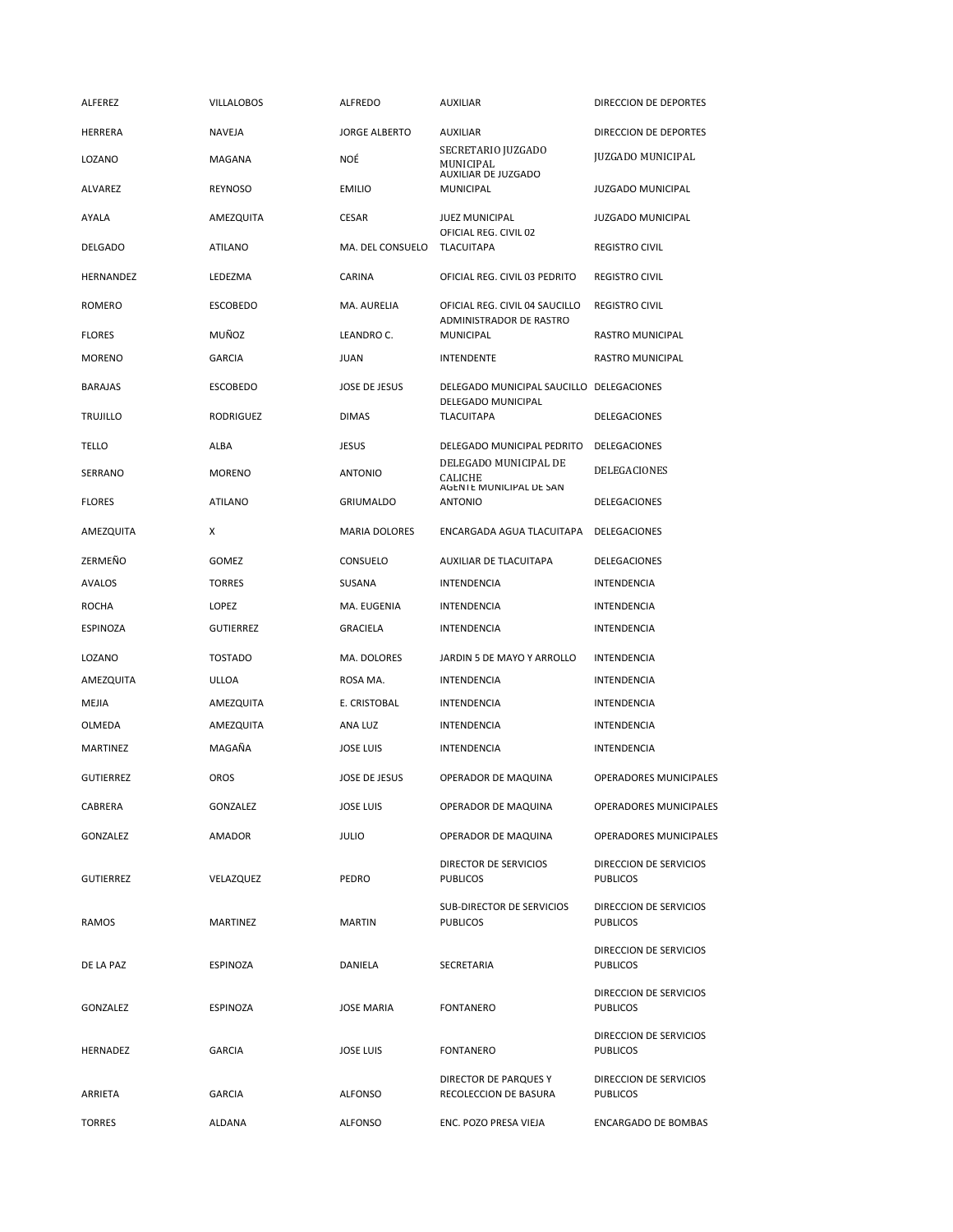| ALFEREZ          | <b>VILLALOBOS</b> | ALFREDO              | AUXILIAR                                                  | DIRECCION DE DEPORTES                     |
|------------------|-------------------|----------------------|-----------------------------------------------------------|-------------------------------------------|
| HERRERA          | <b>NAVEJA</b>     | <b>JORGE ALBERTO</b> | AUXILIAR                                                  | DIRECCION DE DEPORTES                     |
| LOZANO           | MAGANA            | NOË                  | SECRETARIO JUZGADO<br>MUNICIPAL<br>AUXILIAR DE JUZGADO    | JUZGADO MUNICIPAL                         |
| ALVAREZ          | REYNOSO           | <b>EMILIO</b>        | <b>MUNICIPAL</b>                                          | <b>JUZGADO MUNICIPAL</b>                  |
| AYALA            | AMEZQUITA         | <b>CESAR</b>         | <b>JUEZ MUNICIPAL</b>                                     | <b>JUZGADO MUNICIPAL</b>                  |
| <b>DELGADO</b>   | ATILANO           | MA. DEL CONSUELO     | OFICIAL REG. CIVIL 02<br><b>TLACUITAPA</b>                | <b>REGISTRO CIVIL</b>                     |
| HERNANDEZ        | LEDEZMA           | CARINA               | OFICIAL REG. CIVIL 03 PEDRITO                             | <b>REGISTRO CIVIL</b>                     |
| ROMERO           | <b>ESCOBEDO</b>   | <b>MA. AURELIA</b>   | OFICIAL REG. CIVIL 04 SAUCILLO<br>ADMINISTRADOR DE RASTRO | <b>REGISTRO CIVIL</b>                     |
| <b>FLORES</b>    | MUÑOZ             | LEANDRO C.           | <b>MUNICIPAL</b>                                          | RASTRO MUNICIPAL                          |
| <b>MORENO</b>    | <b>GARCIA</b>     | JUAN                 | <b>INTENDENTE</b>                                         | RASTRO MUNICIPAL                          |
| <b>BARAJAS</b>   | ESCOBEDO          | JOSE DE JESUS        | DELEGADO MUNICIPAL SAUCILLO DELEGACIONES                  |                                           |
| <b>TRUJILLO</b>  | RODRIGUEZ         | <b>DIMAS</b>         | <b>DELEGADO MUNICIPAL</b><br><b>TLACUITAPA</b>            | DELEGACIONES                              |
| TELLO            | ALBA              | <b>JESUS</b>         | <b>DELEGADO MUNICIPAL PEDRITO</b>                         | DELEGACIONES                              |
| SERRANO          | <b>MORENO</b>     | <b>ANTONIO</b>       | DELEGADO MUNICIPAL DE<br>CALICHE                          | DELEGACIONES                              |
| <b>FLORES</b>    | <b>ATILANO</b>    | GRIUMALDO            | AGENTE MUNICIPAL DE SAN<br><b>ANTONIO</b>                 | DELEGACIONES                              |
| AMEZQUITA        | X                 | <b>MARIA DOLORES</b> | ENCARGADA AGUA TLACUITAPA                                 | DELEGACIONES                              |
| ZERMEÑO          | GOMEZ             | CONSUELO             | AUXILIAR DE TLACUITAPA                                    | DELEGACIONES                              |
| AVALOS           | <b>TORRES</b>     | SUSANA               | INTENDENCIA                                               | INTENDENCIA                               |
| <b>ROCHA</b>     | LOPEZ             | MA. EUGENIA          | <b>INTENDENCIA</b>                                        | INTENDENCIA                               |
| ESPINOZA         | <b>GUTIERREZ</b>  | <b>GRACIELA</b>      | <b>INTENDENCIA</b>                                        | INTENDENCIA                               |
| LOZANO           | <b>TOSTADO</b>    | MA. DOLORES          | JARDIN 5 DE MAYO Y ARROLLO                                | INTENDENCIA                               |
| AMEZQUITA        | ULLOA             | ROSA MA.             | <b>INTENDENCIA</b>                                        | INTENDENCIA                               |
| MEJIA            | AMEZQUITA         | E. CRISTOBAL         | INTENDENCIA                                               | INTENDENCIA                               |
| OLMEDA           | AMEZQUITA         | ANA LUZ              | <b>INTENDENCIA</b>                                        | <b>INTENDENCIA</b>                        |
| MARTINEZ         | MAGAÑA            | <b>JOSE LUIS</b>     | <b>INTENDENCIA</b>                                        | INTENDENCIA                               |
| <b>GUTIERREZ</b> | OROS              | JOSE DE JESUS        | OPERADOR DE MAQUINA                                       | OPERADORES MUNICIPALES                    |
| CABRERA          | GONZALEZ          | <b>JOSE LUIS</b>     | OPERADOR DE MAQUINA                                       | OPERADORES MUNICIPALES                    |
| GONZALEZ         | AMADOR            | <b>JULIO</b>         | OPERADOR DE MAQUINA                                       | OPERADORES MUNICIPALES                    |
| <b>GUTIERREZ</b> | VELAZQUEZ         | PEDRO                | DIRECTOR DE SERVICIOS<br><b>PUBLICOS</b>                  | DIRECCION DE SERVICIOS<br><b>PUBLICOS</b> |
| RAMOS            | MARTINEZ          | MARTIN               | SUB-DIRECTOR DE SERVICIOS<br><b>PUBLICOS</b>              | DIRECCION DE SERVICIOS<br><b>PUBLICOS</b> |
| DE LA PAZ        | ESPINOZA          | DANIELA              | SECRETARIA                                                | DIRECCION DE SERVICIOS<br><b>PUBLICOS</b> |
| GONZALEZ         | ESPINOZA          | <b>JOSE MARIA</b>    | <b>FONTANERO</b>                                          | DIRECCION DE SERVICIOS<br><b>PUBLICOS</b> |
| HERNADEZ         | <b>GARCIA</b>     | <b>JOSE LUIS</b>     | <b>FONTANERO</b>                                          | DIRECCION DE SERVICIOS<br><b>PUBLICOS</b> |
| ARRIETA          | GARCIA            | ALFONSO              | DIRECTOR DE PARQUES Y<br>RECOLECCION DE BASURA            | DIRECCION DE SERVICIOS<br><b>PUBLICOS</b> |
| <b>TORRES</b>    | ALDANA            | ALFONSO              | ENC. POZO PRESA VIEJA                                     | ENCARGADO DE BOMBAS                       |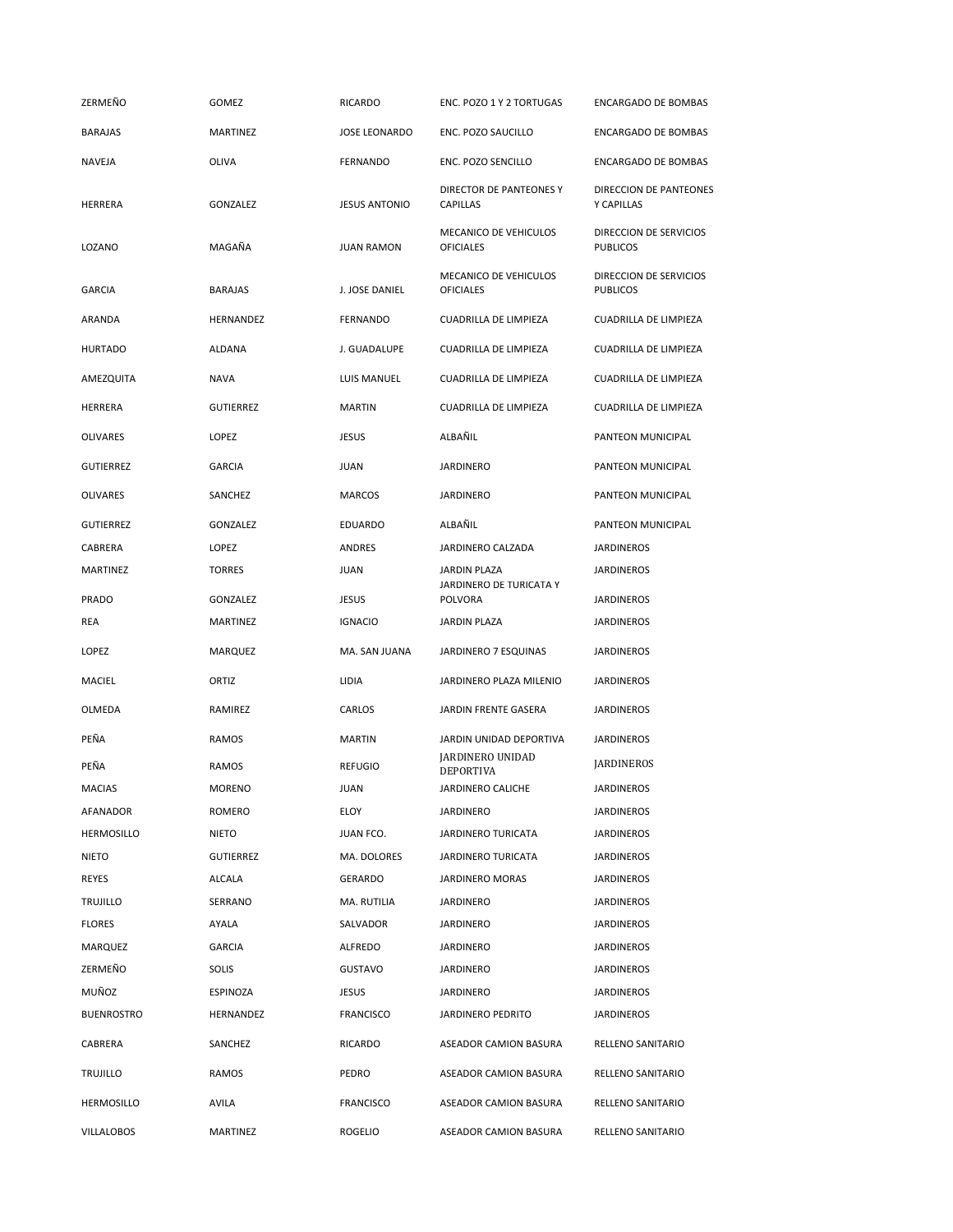| ZERMEÑO           | GOMEZ            | <b>RICARDO</b>       | ENC. POZO 1 Y 2 TORTUGAS                   | <b>ENCARGADO DE BOMBAS</b>                |
|-------------------|------------------|----------------------|--------------------------------------------|-------------------------------------------|
| <b>BARAJAS</b>    | MARTINEZ         | <b>JOSE LEONARDO</b> | ENC. POZO SAUCILLO                         | <b>ENCARGADO DE BOMBAS</b>                |
| NAVEJA            | <b>OLIVA</b>     | <b>FERNANDO</b>      | ENC. POZO SENCILLO                         | ENCARGADO DE BOMBAS                       |
| HERRERA           | GONZALEZ         | <b>JESUS ANTONIO</b> | DIRECTOR DE PANTEONES Y<br><b>CAPILLAS</b> | DIRECCION DE PANTEONES<br>Y CAPILLAS      |
| LOZANO            | MAGAÑA           | <b>JUAN RAMON</b>    | MECANICO DE VEHICULOS<br><b>OFICIALES</b>  | DIRECCION DE SERVICIOS<br><b>PUBLICOS</b> |
| <b>GARCIA</b>     | <b>BARAJAS</b>   | J. JOSE DANIEL       | MECANICO DE VEHICULOS<br><b>OFICIALES</b>  | DIRECCION DE SERVICIOS<br><b>PUBLICOS</b> |
| ARANDA            | HERNANDEZ        | <b>FERNANDO</b>      | <b>CUADRILLA DE LIMPIEZA</b>               | <b>CUADRILLA DE LIMPIEZA</b>              |
| <b>HURTADO</b>    | ALDANA           | J. GUADALUPE         | <b>CUADRILLA DE LIMPIEZA</b>               | <b>CUADRILLA DE LIMPIEZA</b>              |
| AMEZQUITA         | <b>NAVA</b>      | LUIS MANUEL          | <b>CUADRILLA DE LIMPIEZA</b>               | <b>CUADRILLA DE LIMPIEZA</b>              |
| HERRERA           | <b>GUTIERREZ</b> | <b>MARTIN</b>        | <b>CUADRILLA DE LIMPIEZA</b>               | <b>CUADRILLA DE LIMPIEZA</b>              |
| <b>OLIVARES</b>   | LOPEZ            | <b>JESUS</b>         | ALBAÑIL                                    | PANTEON MUNICIPAL                         |
| <b>GUTIERREZ</b>  | <b>GARCIA</b>    | JUAN                 | <b>JARDINERO</b>                           | PANTEON MUNICIPAL                         |
| <b>OLIVARES</b>   | SANCHEZ          | <b>MARCOS</b>        | <b>JARDINERO</b>                           | PANTEON MUNICIPAL                         |
| <b>GUTIERREZ</b>  | GONZALEZ         | <b>EDUARDO</b>       | ALBAÑIL                                    | PANTEON MUNICIPAL                         |
| CABRERA           | LOPEZ            | ANDRES               | JARDINERO CALZADA                          | <b>JARDINEROS</b>                         |
| <b>MARTINEZ</b>   | <b>TORRES</b>    | <b>JUAN</b>          | JARDIN PLAZA                               | <b>JARDINEROS</b>                         |
| PRADO             | GONZALEZ         | <b>JESUS</b>         | JARDINERO DE TURICATA Y<br><b>POLVORA</b>  | <b>JARDINEROS</b>                         |
| REA               | MARTINEZ         | <b>IGNACIO</b>       | <b>JARDIN PLAZA</b>                        | <b>JARDINEROS</b>                         |
| LOPEZ             | MARQUEZ          | MA. SAN JUANA        | JARDINERO 7 ESQUINAS                       | <b>JARDINEROS</b>                         |
| MACIEL            | ORTIZ            | LIDIA                | JARDINERO PLAZA MILENIO                    | <b>JARDINEROS</b>                         |
| OLMEDA            | RAMIREZ          | CARLOS               | JARDIN FRENTE GASERA                       | <b>JARDINEROS</b>                         |
| PEÑA              | RAMOS            | <b>MARTIN</b>        | JARDIN UNIDAD DEPORTIVA                    | <b>JARDINEROS</b>                         |
| PEÑA              | RAMOS            | <b>REFUGIO</b>       | JARDINERO UNIDAD<br><b>DEPORTIVA</b>       | <b>JARDINEROS</b>                         |
| <b>MACIAS</b>     | <b>MORENO</b>    | JUAN                 | JARDINERO CALICHE                          | <b>JARDINEROS</b>                         |
| AFANADOR          | ROMERO           | ELOY                 | JARDINERO                                  | <b>JARDINEROS</b>                         |
| <b>HERMOSILLO</b> | NIETO            | JUAN FCO.            | <b>JARDINERO TURICATA</b>                  | <b>JARDINEROS</b>                         |
| NIETO             | <b>GUTIERREZ</b> | MA. DOLORES          | JARDINERO TURICATA                         | <b>JARDINEROS</b>                         |
| REYES             | ALCALA           | GERARDO              | <b>JARDINERO MORAS</b>                     | <b>JARDINEROS</b>                         |
| <b>TRUJILLO</b>   | SERRANO          | MA. RUTILIA          | JARDINERO                                  | <b>JARDINEROS</b>                         |
| <b>FLORES</b>     | AYALA            | SALVADOR             | JARDINERO                                  | <b>JARDINEROS</b>                         |
| <b>MARQUEZ</b>    | <b>GARCIA</b>    | ALFREDO              | JARDINERO                                  | <b>JARDINEROS</b>                         |
| ZERMEÑO           | SOLIS            | <b>GUSTAVO</b>       | <b>JARDINERO</b>                           | <b>JARDINEROS</b>                         |
| MUÑOZ             | ESPINOZA         | <b>JESUS</b>         | JARDINERO                                  | <b>JARDINEROS</b>                         |
| <b>BUENROSTRO</b> | HERNANDEZ        | <b>FRANCISCO</b>     | JARDINERO PEDRITO                          | <b>JARDINEROS</b>                         |
| CABRERA           | SANCHEZ          | <b>RICARDO</b>       | ASEADOR CAMION BASURA                      | RELLENO SANITARIO                         |
| <b>TRUJILLO</b>   | RAMOS            | PEDRO                | ASEADOR CAMION BASURA                      | RELLENO SANITARIO                         |
| <b>HERMOSILLO</b> | AVILA            | <b>FRANCISCO</b>     | ASEADOR CAMION BASURA                      | RELLENO SANITARIO                         |
|                   |                  |                      |                                            |                                           |
| <b>VILLALOBOS</b> | MARTINEZ         | <b>ROGELIO</b>       | ASEADOR CAMION BASURA                      | RELLENO SANITARIO                         |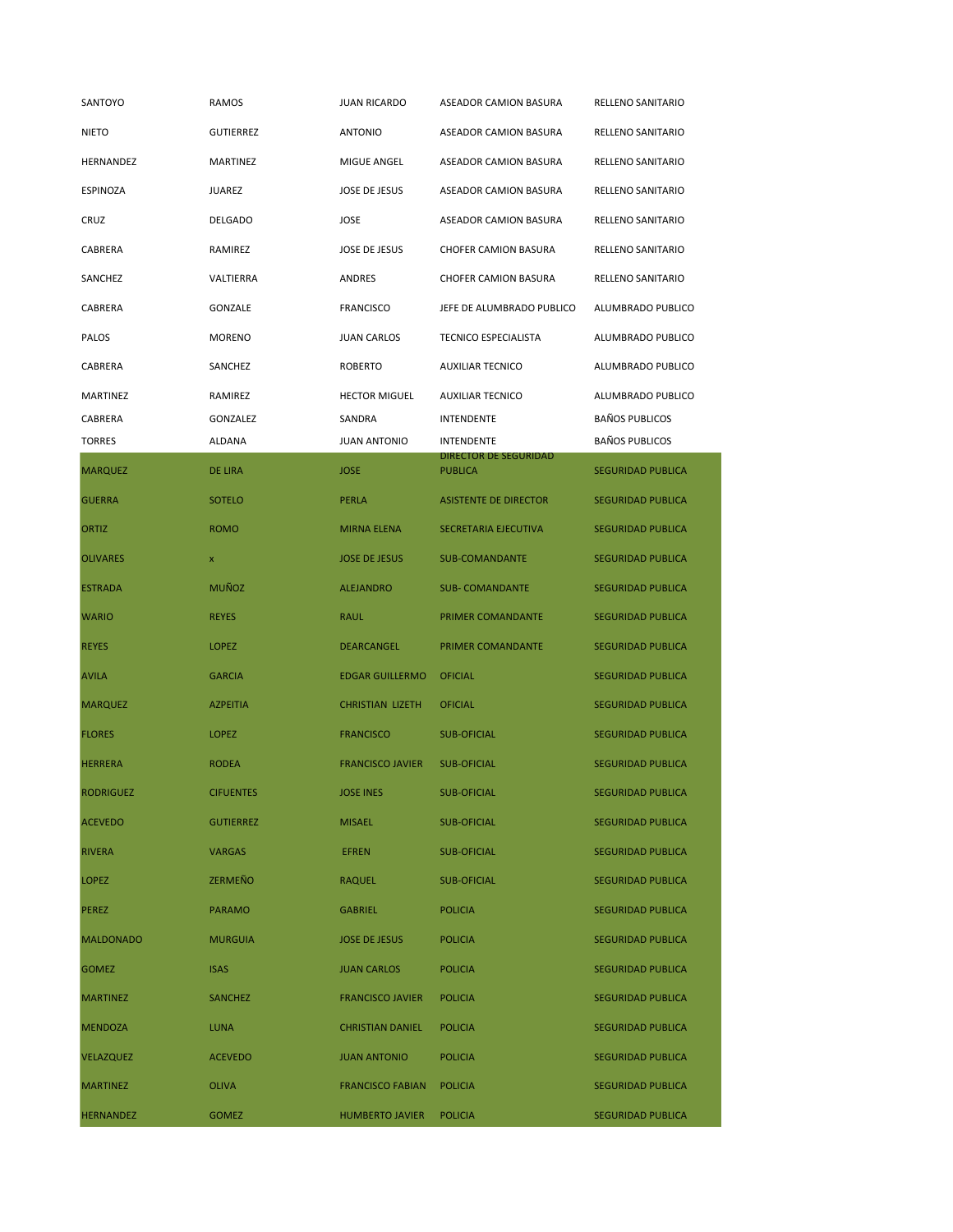| SANTOYO          | RAMOS            | <b>JUAN RICARDO</b>     | ASEADOR CAMION BASURA                          | RELLENO SANITARIO        |
|------------------|------------------|-------------------------|------------------------------------------------|--------------------------|
| <b>NIETO</b>     | <b>GUTIERREZ</b> | ANTONIO                 | ASEADOR CAMION BASURA                          | RELLENO SANITARIO        |
| HERNANDEZ        | MARTINEZ         | MIGUE ANGEL             | ASEADOR CAMION BASURA                          | RELLENO SANITARIO        |
| ESPINOZA         | JUAREZ           | <b>JOSE DE JESUS</b>    | ASEADOR CAMION BASURA                          | RELLENO SANITARIO        |
| CRUZ             | DELGADO          | JOSE                    | ASEADOR CAMION BASURA                          | RELLENO SANITARIO        |
| CABRERA          | RAMIREZ          | <b>JOSE DE JESUS</b>    | <b>CHOFER CAMION BASURA</b>                    | RELLENO SANITARIO        |
| SANCHEZ          | VALTIERRA        | <b>ANDRES</b>           | <b>CHOFER CAMION BASURA</b>                    | <b>RELLENO SANITARIO</b> |
| <b>CABRERA</b>   | GONZALE          | <b>FRANCISCO</b>        | JEFE DE ALUMBRADO PUBLICO                      | ALUMBRADO PUBLICO        |
| PALOS            | <b>MORENO</b>    | <b>JUAN CARLOS</b>      | <b>TECNICO ESPECIALISTA</b>                    | ALUMBRADO PUBLICO        |
| CABRERA          | SANCHEZ          | <b>ROBERTO</b>          | <b>AUXILIAR TECNICO</b>                        | ALUMBRADO PUBLICO        |
| MARTINEZ         | RAMIREZ          | <b>HECTOR MIGUEL</b>    | <b>AUXILIAR TECNICO</b>                        | ALUMBRADO PUBLICO        |
| CABRERA          | GONZALEZ         | SANDRA                  | <b>INTENDENTE</b>                              | <b>BAÑOS PUBLICOS</b>    |
| <b>TORRES</b>    | ALDANA           | <b>JUAN ANTONIO</b>     | <b>INTENDENTE</b>                              | <b>BAÑOS PUBLICOS</b>    |
| <b>MARQUEZ</b>   | DE LIRA          | <b>JOSE</b>             | <b>DIRECTOR DE SEGURIDAD</b><br><b>PUBLICA</b> | <b>SEGURIDAD PUBLICA</b> |
| <b>GUERRA</b>    | <b>SOTELO</b>    | PERLA                   | <b>ASISTENTE DE DIRECTOR</b>                   | <b>SEGURIDAD PUBLICA</b> |
| <b>ORTIZ</b>     | <b>ROMO</b>      | <b>MIRNA ELENA</b>      | SECRETARIA EJECUTIVA                           | <b>SEGURIDAD PUBLICA</b> |
| <b>OLIVARES</b>  | x                | <b>JOSE DE JESUS</b>    | <b>SUB-COMANDANTE</b>                          | <b>SEGURIDAD PUBLICA</b> |
| <b>ESTRADA</b>   | <b>MUÑOZ</b>     | <b>ALEJANDRO</b>        | <b>SUB- COMANDANTE</b>                         | <b>SEGURIDAD PUBLICA</b> |
| <b>WARIO</b>     | <b>REYES</b>     | <b>RAUL</b>             | PRIMER COMANDANTE                              | <b>SEGURIDAD PUBLICA</b> |
| <b>REYES</b>     | <b>LOPEZ</b>     | <b>DEARCANGEL</b>       | PRIMER COMANDANTE                              | <b>SEGURIDAD PUBLICA</b> |
| <b>AVILA</b>     | <b>GARCIA</b>    | <b>EDGAR GUILLERMO</b>  | <b>OFICIAL</b>                                 | <b>SEGURIDAD PUBLICA</b> |
| <b>MARQUEZ</b>   | <b>AZPEITIA</b>  | <b>CHRISTIAN LIZETH</b> | <b>OFICIAL</b>                                 | <b>SEGURIDAD PUBLICA</b> |
| <b>FLORES</b>    | <b>LOPEZ</b>     | <b>FRANCISCO</b>        | <b>SUB-OFICIAL</b>                             | <b>SEGURIDAD PUBLICA</b> |
| <b>HERRERA</b>   | <b>RODEA</b>     | <b>FRANCISCO JAVIER</b> | <b>SUB-OFICIAL</b>                             | <b>SEGURIDAD PUBLICA</b> |
| <b>RODRIGUEZ</b> | CIFUENTES        | JOSE INES               | SUB-OFICIAL                                    | SEGURIDAD PUBLICA        |
| <b>ACEVEDO</b>   | <b>GUTIERREZ</b> | <b>MISAEL</b>           | <b>SUB-OFICIAL</b>                             | <b>SEGURIDAD PUBLICA</b> |
| <b>RIVERA</b>    | <b>VARGAS</b>    | <b>EFREN</b>            | <b>SUB-OFICIAL</b>                             | <b>SEGURIDAD PUBLICA</b> |
| <b>LOPEZ</b>     | ZERMEÑO          | <b>RAQUEL</b>           | <b>SUB-OFICIAL</b>                             | <b>SEGURIDAD PUBLICA</b> |
| <b>PEREZ</b>     | <b>PARAMO</b>    | <b>GABRIEL</b>          | <b>POLICIA</b>                                 | <b>SEGURIDAD PUBLICA</b> |
| <b>MALDONADO</b> | <b>MURGUIA</b>   | <b>JOSE DE JESUS</b>    | <b>POLICIA</b>                                 | <b>SEGURIDAD PUBLICA</b> |
| <b>GOMEZ</b>     | <b>ISAS</b>      | <b>JUAN CARLOS</b>      | <b>POLICIA</b>                                 | <b>SEGURIDAD PUBLICA</b> |
| <b>MARTINEZ</b>  | <b>SANCHEZ</b>   | <b>FRANCISCO JAVIER</b> | <b>POLICIA</b>                                 | <b>SEGURIDAD PUBLICA</b> |
| <b>MENDOZA</b>   | <b>LUNA</b>      | <b>CHRISTIAN DANIEL</b> | <b>POLICIA</b>                                 | <b>SEGURIDAD PUBLICA</b> |
| <b>VELAZQUEZ</b> | <b>ACEVEDO</b>   | <b>JUAN ANTONIO</b>     | <b>POLICIA</b>                                 | <b>SEGURIDAD PUBLICA</b> |
| <b>MARTINEZ</b>  | <b>OLIVA</b>     | <b>FRANCISCO FABIAN</b> | <b>POLICIA</b>                                 | <b>SEGURIDAD PUBLICA</b> |
| <b>HERNANDEZ</b> | <b>GOMEZ</b>     | <b>HUMBERTO JAVIER</b>  | <b>POLICIA</b>                                 | <b>SEGURIDAD PUBLICA</b> |